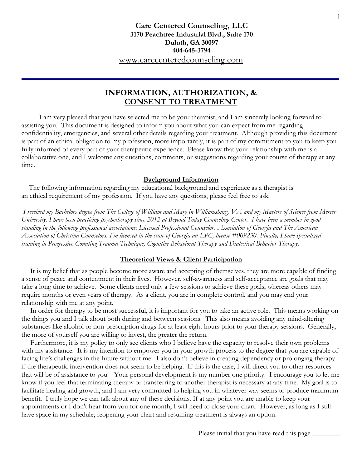# **Care Centered Counseling, LLC 3170 Peachtree Industrial Blvd., Suite 170 Duluth, GA 30097 404-645-3794** www.carecenteredcounseling.com

# **INFORMATION, AUTHORIZATION, & CONSENT TO TREATMENT**

 I am very pleased that you have selected me to be your therapist, and I am sincerely looking forward to assisting you. This document is designed to inform you about what you can expect from me regarding confidentiality, emergencies, and several other details regarding your treatment. Although providing this document is part of an ethical obligation to my profession, more importantly, it is part of my commitment to you to keep you fully informed of every part of your therapeutic experience. Please know that your relationship with me is a collaborative one, and I welcome any questions, comments, or suggestions regarding your course of therapy at any time.

### **Background Information**

 The following information regarding my educational background and experience as a therapist is an ethical requirement of my profession. If you have any questions, please feel free to ask.

 *I received my Bachelors degree from The College of William and Mary in Williamsburg, VA and my Masters of Science from Mercer University. I have been practicing psychotherapy since 2012 at Beyond Today Counseling Center. I have been a member in good standing in the following professional associations: Licensed Professional Counselors Association of Georgia and The American Association of Christina Counselors. I'm licensed in the state of Georgia an LPC, license #009230. Finally, I have specialized training in Progressive Counting Trauma Technique, Cognitive Behavioral Therapy and Dialectical Behavior Therapy.*

#### **Theoretical Views & Client Participation**

 It is my belief that as people become more aware and accepting of themselves, they are more capable of finding a sense of peace and contentment in their lives. However, self-awareness and self-acceptance are goals that may take a long time to achieve. Some clients need only a few sessions to achieve these goals, whereas others may require months or even years of therapy. As a client, you are in complete control, and you may end your relationship with me at any point.

 In order for therapy to be most successful, it is important for you to take an active role. This means working on the things you and I talk about both during and between sessions. This also means avoiding any mind-altering substances like alcohol or non-prescription drugs for at least eight hours prior to your therapy sessions. Generally, the more of yourself you are willing to invest, the greater the return.

 Furthermore, it is my policy to only see clients who I believe have the capacity to resolve their own problems with my assistance. It is my intention to empower you in your growth process to the degree that you are capable of facing life's challenges in the future without me. I also don't believe in creating dependency or prolonging therapy if the therapeutic intervention does not seem to be helping. If this is the case, I will direct you to other resources that will be of assistance to you. Your personal development is my number one priority. I encourage you to let me know if you feel that terminating therapy or transferring to another therapist is necessary at any time. My goal is to facilitate healing and growth, and I am very committed to helping you in whatever way seems to produce maximum benefit. I truly hope we can talk about any of these decisions. If at any point you are unable to keep your appointments or I don't hear from you for one month, I will need to close your chart. However, as long as I still have space in my schedule, reopening your chart and resuming treatment is always an option.

Please initial that you have read this page  $\_\_$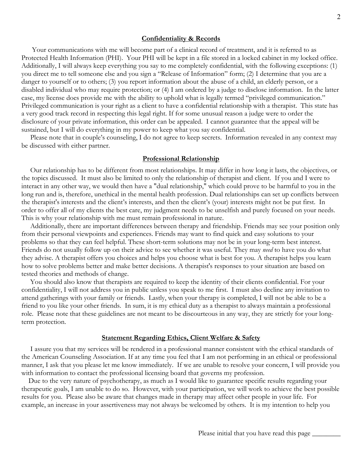#### **Confidentiality & Records**

 Your communications with me will become part of a clinical record of treatment, and it is referred to as Protected Health Information (PHI). Your PHI will be kept in a file stored in a locked cabinet in my locked office. Additionally, I will always keep everything you say to me completely confidential, with the following exceptions: (1) you direct me to tell someone else and you sign a "Release of Information" form; (2) I determine that you are a danger to yourself or to others; (3) you report information about the abuse of a child, an elderly person, or a disabled individual who may require protection; or (4) I am ordered by a judge to disclose information. In the latter case, my license does provide me with the ability to uphold what is legally termed "privileged communication." Privileged communication is your right as a client to have a confidential relationship with a therapist. This state has a very good track record in respecting this legal right. If for some unusual reason a judge were to order the disclosure of your private information, this order can be appealed. I cannot guarantee that the appeal will be sustained, but I will do everything in my power to keep what you say confidential.

 Please note that in couple's counseling, I do not agree to keep secrets. Information revealed in any context may be discussed with either partner.

#### **Professional Relationship**

 Our relationship has to be different from most relationships. It may differ in how long it lasts, the objectives, or the topics discussed. It must also be limited to only the relationship of therapist and client. If you and I were to interact in any other way, we would then have a "dual relationship," which could prove to be harmful to you in the long run and is, therefore, unethical in the mental health profession. Dual relationships can set up conflicts between the therapist's interests and the client's interests, and then the client's (your) interests might not be put first. In order to offer all of my clients the best care, my judgment needs to be unselfish and purely focused on your needs. This is why your relationship with me must remain professional in nature.

 Additionally, there are important differences between therapy and friendship. Friends may see your position only from their personal viewpoints and experiences. Friends may want to find quick and easy solutions to your problems so that they can feel helpful. These short-term solutions may not be in your long-term best interest. Friends do not usually follow up on their advice to see whether it was useful. They may *need* to have you do what they advise. A therapist offers you choices and helps you choose what is best for you. A therapist helps you learn how to solve problems better and make better decisions. A therapist's responses to your situation are based on tested theories and methods of change.

 You should also know that therapists are required to keep the identity of their clients confidential. For your confidentiality, I will not address you in public unless you speak to me first. I must also decline any invitation to attend gatherings with your family or friends. Lastly, when your therapy is completed, I will not be able to be a friend to you like your other friends. In sum, it is my ethical duty as a therapist to always maintain a professional role. Please note that these guidelines are not meant to be discourteous in any way, they are strictly for your longterm protection.

#### **Statement Regarding Ethics, Client Welfare & Safety**

 I assure you that my services will be rendered in a professional manner consistent with the ethical standards of the American Counseling Association. If at any time you feel that I am not performing in an ethical or professional manner, I ask that you please let me know immediately. If we are unable to resolve your concern, I will provide you with information to contact the professional licensing board that governs my profession.

 Due to the very nature of psychotherapy, as much as I would like to guarantee specific results regarding your therapeutic goals, I am unable to do so. However, with your participation, we will work to achieve the best possible results for you. Please also be aware that changes made in therapy may affect other people in your life. For example, an increase in your assertiveness may not always be welcomed by others. It is my intention to help you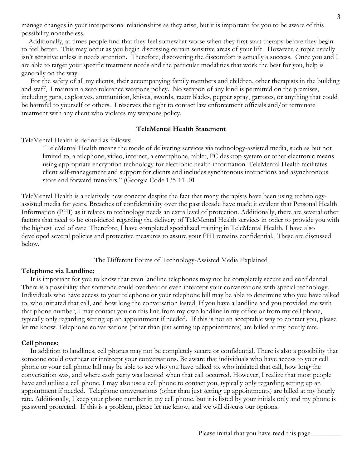manage changes in your interpersonal relationships as they arise, but it is important for you to be aware of this possibility nonetheless.

 Additionally, at times people find that they feel somewhat worse when they first start therapy before they begin to feel better. This may occur as you begin discussing certain sensitive areas of your life. However, a topic usually isn't sensitive unless it needs attention. Therefore, discovering the discomfort is actually a success. Once you and I are able to target your specific treatment needs and the particular modalities that work the best for you, help is generally on the way.

 For the safety of all my clients, their accompanying family members and children, other therapists in the building and staff, I maintain a zero tolerance weapons policy. No weapon of any kind is permitted on the premises, including guns, explosives, ammunition, knives, swords, razor blades, pepper spray, garrotes, or anything that could be harmful to yourself or others. I reserves the right to contact law enforcement officials and/or terminate treatment with any client who violates my weapons policy.

#### **TeleMental Health Statement**

TeleMental Health is defined as follows:

"TeleMental Health means the mode of delivering services via technology-assisted media, such as but not limited to, a telephone, video, internet, a smartphone, tablet, PC desktop system or other electronic means using appropriate encryption technology for electronic health information. TeleMental Health facilitates client self-management and support for clients and includes synchronous interactions and asynchronous store and forward transfers." (Georgia Code 135-11-.01

TeleMental Health is a relatively new concept despite the fact that many therapists have been using technologyassisted media for years. Breaches of confidentiality over the past decade have made it evident that Personal Health Information (PHI) as it relates to technology needs an extra level of protection. Additionally, there are several other factors that need to be considered regarding the delivery of TeleMental Health services in order to provide you with the highest level of care. Therefore, I have completed specialized training in TeleMental Health. I have also developed several policies and protective measures to assure your PHI remains confidential. These are discussed below.

### The Different Forms of Technology-Assisted Media Explained

#### **Telephone via Landline:**

 It is important for you to know that even landline telephones may not be completely secure and confidential. There is a possibility that someone could overhear or even intercept your conversations with special technology. Individuals who have access to your telephone or your telephone bill may be able to determine who you have talked to, who initiated that call, and how long the conversation lasted. If you have a landline and you provided me with that phone number, I may contact you on this line from my own landline in my office or from my cell phone, typically only regarding setting up an appointment if needed. If this is not an acceptable way to contact you, please let me know. Telephone conversations (other than just setting up appointments) are billed at my hourly rate.

### **Cell phones:**

 In addition to landlines, cell phones may not be completely secure or confidential. There is also a possibility that someone could overhear or intercept your conversations. Be aware that individuals who have access to your cell phone or your cell phone bill may be able to see who you have talked to, who initiated that call, how long the conversation was, and where each party was located when that call occurred. However, I realize that most people have and utilize a cell phone. I may also use a cell phone to contact you, typically only regarding setting up an appointment if needed. Telephone conversations (other than just setting up appointments) are billed at my hourly rate. Additionally, I keep your phone number in my cell phone, but it is listed by your initials only and my phone is password protected. If this is a problem, please let me know, and we will discuss our options.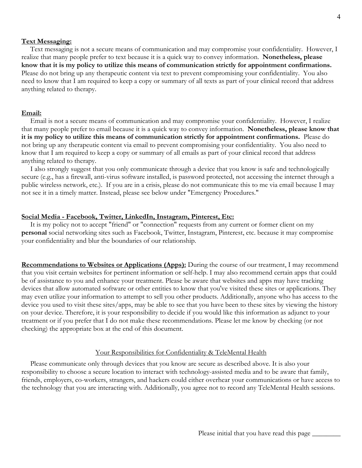### **Text Messaging:**

 Text messaging is not a secure means of communication and may compromise your confidentiality. However, I realize that many people prefer to text because it is a quick way to convey information. **Nonetheless, please know that it is my policy to utilize this means of communication strictly for appointment confirmations.** Please do not bring up any therapeutic content via text to prevent compromising your confidentiality. You also need to know that I am required to keep a copy or summary of all texts as part of your clinical record that address anything related to therapy.

#### **Email:**

 Email is not a secure means of communication and may compromise your confidentiality. However, I realize that many people prefer to email because it is a quick way to convey information. **Nonetheless, please know that it is my policy to utilize this means of communication strictly for appointment confirmations.** Please do not bring up any therapeutic content via email to prevent compromising your confidentiality. You also need to know that I am required to keep a copy or summary of all emails as part of your clinical record that address anything related to therapy.

 I also strongly suggest that you only communicate through a device that you know is safe and technologically secure (e.g., has a firewall, anti-virus software installed, is password protected, not accessing the internet through a public wireless network, etc.). If you are in a crisis, please do not communicate this to me via email because I may not see it in a timely matter. Instead, please see below under "Emergency Procedures."

#### **Social Media - Facebook, Twitter, LinkedIn, Instagram, Pinterest, Etc:**

 It is my policy not to accept "friend" or "connection" requests from any current or former client on my **personal** social networking sites such as Facebook, Twitter, Instagram, Pinterest, etc. because it may compromise your confidentiality and blur the boundaries of our relationship.

**Recommendations to Websites or Applications (Apps):** During the course of our treatment, I may recommend that you visit certain websites for pertinent information or self-help. I may also recommend certain apps that could be of assistance to you and enhance your treatment. Please be aware that websites and apps may have tracking devices that allow automated software or other entities to know that you've visited these sites or applications. They may even utilize your information to attempt to sell you other products. Additionally, anyone who has access to the device you used to visit these sites/apps, may be able to see that you have been to these sites by viewing the history on your device. Therefore, it is your responsibility to decide if you would like this information as adjunct to your treatment or if you prefer that I do not make these recommendations. Please let me know by checking (or not checking) the appropriate box at the end of this document.

#### Your Responsibilities for Confidentiality & TeleMental Health

 Please communicate only through devices that you know are secure as described above. It is also your responsibility to choose a secure location to interact with technology-assisted media and to be aware that family, friends, employers, co-workers, strangers, and hackers could either overhear your communications or have access to the technology that you are interacting with. Additionally, you agree not to record any TeleMental Health sessions.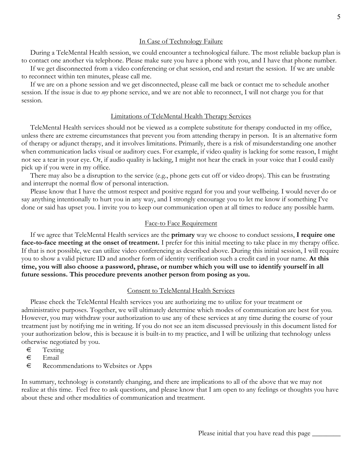### In Case of Technology Failure

 During a TeleMental Health session, we could encounter a technological failure. The most reliable backup plan is to contact one another via telephone. Please make sure you have a phone with you, and I have that phone number.

 If we get disconnected from a video conferencing or chat session, end and restart the session. If we are unable to reconnect within ten minutes, please call me.

 If we are on a phone session and we get disconnected, please call me back or contact me to schedule another session. If the issue is due to *my* phone service, and we are not able to reconnect, I will not charge you for that session.

### Limitations of TeleMental Health Therapy Services

 TeleMental Health services should not be viewed as a complete substitute for therapy conducted in my office, unless there are extreme circumstances that prevent you from attending therapy in person. It is an alternative form of therapy or adjunct therapy, and it involves limitations. Primarily, there is a risk of misunderstanding one another when communication lacks visual or auditory cues. For example, if video quality is lacking for some reason, I might not see a tear in your eye. Or, if audio quality is lacking, I might not hear the crack in your voice that I could easily pick up if you were in my office.

 There may also be a disruption to the service (e.g., phone gets cut off or video drops). This can be frustrating and interrupt the normal flow of personal interaction.

 Please know that I have the utmost respect and positive regard for you and your wellbeing. I would never do or say anything intentionally to hurt you in any way, and I strongly encourage you to let me know if something I've done or said has upset you. I invite you to keep our communication open at all times to reduce any possible harm.

# Face-to Face Requirement

 If we agree that TeleMental Health services are the **primary** way we choose to conduct sessions, **I require one face-to-face meeting at the onset of treatment.** I prefer for this initial meeting to take place in my therapy office. If that is not possible, we can utilize video conferencing as described above. During this initial session, I will require you to show a valid picture ID and another form of identity verification such a credit card in your name. **At this time, you will also choose a password, phrase, or number which you will use to identify yourself in all future sessions. This procedure prevents another person from posing as you.**

# Consent to TeleMental Health Services

 Please check the TeleMental Health services you are authorizing me to utilize for your treatment or administrative purposes. Together, we will ultimately determine which modes of communication are best for you. However, you may withdraw your authorization to use any of these services at any time during the course of your treatment just by notifying me in writing. If you do not see an item discussed previously in this document listed for your authorization below, this is because it is built-in to my practice, and I will be utilizing that technology unless otherwise negotiated by you.

- € Texting
- € Email
- € Recommendations to Websites or Apps

In summary, technology is constantly changing, and there are implications to all of the above that we may not realize at this time. Feel free to ask questions, and please know that I am open to any feelings or thoughts you have about these and other modalities of communication and treatment.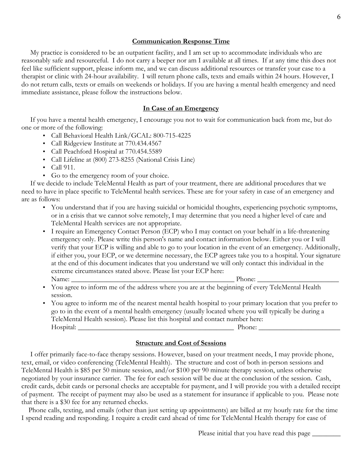### **Communication Response Time**

 My practice is considered to be an outpatient facility, and I am set up to accommodate individuals who are reasonably safe and resourceful. I do not carry a beeper nor am I available at all times. If at any time this does not feel like sufficient support, please inform me, and we can discuss additional resources or transfer your case to a therapist or clinic with 24-hour availability. I will return phone calls, texts and emails within 24 hours. However, I do not return calls, texts or emails on weekends or holidays. If you are having a mental health emergency and need immediate assistance, please follow the instructions below.

### **In Case of an Emergency**

 If you have a mental health emergency, I encourage you not to wait for communication back from me, but do one or more of the following:

- Call Behavioral Health Link/GCAL: 800-715-4225
- Call Ridgeview Institute at 770.434.4567
- Call Peachford Hospital at 770.454.5589
- Call Lifeline at (800) 273-8255 (National Crisis Line)
- Call 911.
- Go to the emergency room of your choice.

 If we decide to include TeleMental Health as part of your treatment, there are additional procedures that we need to have in place specific to TeleMental health services. These are for your safety in case of an emergency and are as follows:

- You understand that if you are having suicidal or homicidal thoughts, experiencing psychotic symptoms, or in a crisis that we cannot solve remotely, I may determine that you need a higher level of care and TeleMental Health services are not appropriate.
- I require an Emergency Contact Person (ECP) who I may contact on your behalf in a life-threatening emergency only. Please write this person's name and contact information below. Either you or I will verify that your ECP is willing and able to go to your location in the event of an emergency. Additionally, if either you, your ECP, or we determine necessary, the ECP agrees take you to a hospital. Your signature at the end of this document indicates that you understand we will only contact this individual in the extreme circumstances stated above. Please list your ECP here: Name: \_\_\_\_\_\_\_\_\_\_\_\_\_\_\_\_\_\_\_\_\_\_\_\_\_\_\_\_\_\_\_\_\_\_\_\_\_\_\_\_\_\_\_\_\_\_ Phone: \_\_\_\_\_\_\_\_\_\_\_\_\_\_\_\_\_\_\_\_\_\_\_
- You agree to inform me of the address where you are at the beginning of every TeleMental Health session.
- You agree to inform me of the nearest mental health hospital to your primary location that you prefer to go to in the event of a mental health emergency (usually located where you will typically be during a TeleMental Health session). Please list this hospital and contact number here: Hospital: \_\_\_\_\_\_\_\_\_\_\_\_\_\_\_\_\_\_\_\_\_\_\_\_\_\_\_\_\_\_\_\_\_\_\_\_\_\_\_\_\_\_\_\_ Phone: \_\_\_\_\_\_\_\_\_\_\_\_\_\_\_\_\_\_\_\_\_\_\_

#### **Structure and Cost of Sessions**

 I offer primarily face-to-face therapy sessions. However, based on your treatment needs, I may provide phone, text, email, or video conferencing (TeleMental Health). The structure and cost of both in-person sessions and TeleMental Health is \$85 per 50 minute session, and/or \$100 per 90 minute therapy session, unless otherwise negotiated by your insurance carrier. The fee for each session will be due at the conclusion of the session. Cash, credit cards, debit cards or personal checks are acceptable for payment, and I will provide you with a detailed receipt of payment. The receipt of payment may also be used as a statement for insurance if applicable to you. Please note that there is a \$30 fee for any returned checks.

 Phone calls, texting, and emails (other than just setting up appointments) are billed at my hourly rate for the time I spend reading and responding. I require a credit card ahead of time for TeleMental Health therapy for ease of